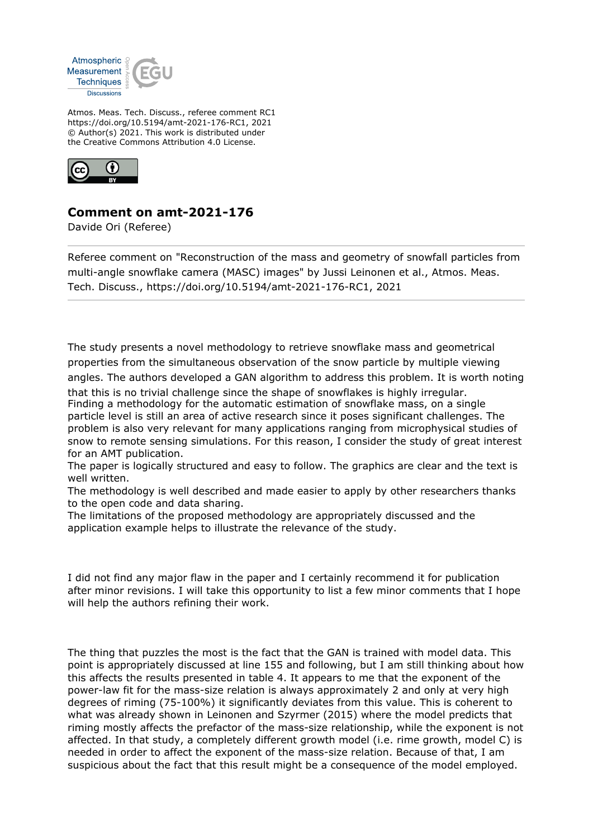

Atmos. Meas. Tech. Discuss., referee comment RC1 https://doi.org/10.5194/amt-2021-176-RC1, 2021 © Author(s) 2021. This work is distributed under the Creative Commons Attribution 4.0 License.



## **Comment on amt-2021-176**

Davide Ori (Referee)

Referee comment on "Reconstruction of the mass and geometry of snowfall particles from multi-angle snowflake camera (MASC) images" by Jussi Leinonen et al., Atmos. Meas. Tech. Discuss., https://doi.org/10.5194/amt-2021-176-RC1, 2021

The study presents a novel methodology to retrieve snowflake mass and geometrical properties from the simultaneous observation of the snow particle by multiple viewing angles. The authors developed a GAN algorithm to address this problem. It is worth noting

that this is no trivial challenge since the shape of snowflakes is highly irregular.

Finding a methodology for the automatic estimation of snowflake mass, on a single particle level is still an area of active research since it poses significant challenges. The problem is also very relevant for many applications ranging from microphysical studies of snow to remote sensing simulations. For this reason, I consider the study of great interest for an AMT publication.

The paper is logically structured and easy to follow. The graphics are clear and the text is well written.

The methodology is well described and made easier to apply by other researchers thanks to the open code and data sharing.

The limitations of the proposed methodology are appropriately discussed and the application example helps to illustrate the relevance of the study.

I did not find any major flaw in the paper and I certainly recommend it for publication after minor revisions. I will take this opportunity to list a few minor comments that I hope will help the authors refining their work.

The thing that puzzles the most is the fact that the GAN is trained with model data. This point is appropriately discussed at line 155 and following, but I am still thinking about how this affects the results presented in table 4. It appears to me that the exponent of the power-law fit for the mass-size relation is always approximately 2 and only at very high degrees of riming (75-100%) it significantly deviates from this value. This is coherent to what was already shown in Leinonen and Szyrmer (2015) where the model predicts that riming mostly affects the prefactor of the mass-size relationship, while the exponent is not affected. In that study, a completely different growth model (i.e. rime growth, model C) is needed in order to affect the exponent of the mass-size relation. Because of that, I am suspicious about the fact that this result might be a consequence of the model employed.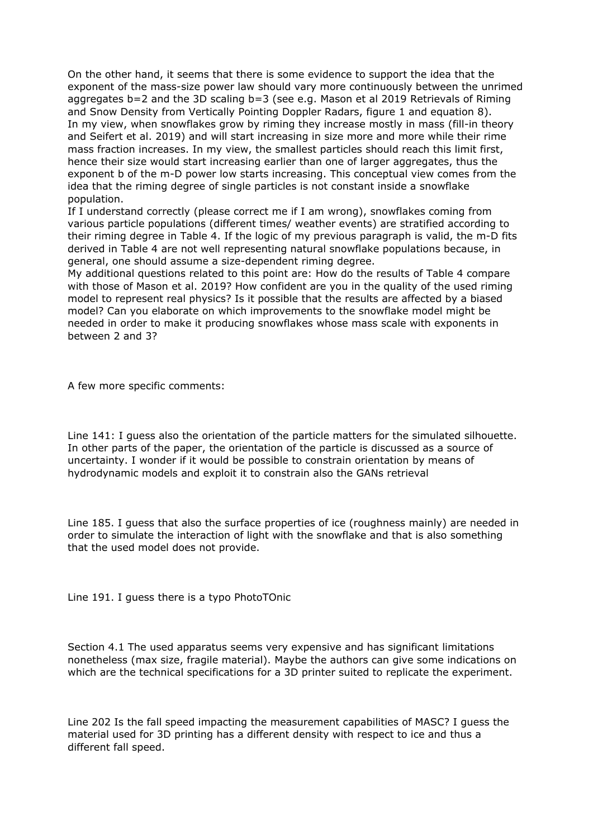On the other hand, it seems that there is some evidence to support the idea that the exponent of the mass-size power law should vary more continuously between the unrimed aggregates b=2 and the 3D scaling b=3 (see e.g. Mason et al 2019 Retrievals of Riming and Snow Density from Vertically Pointing Doppler Radars, figure 1 and equation 8). In my view, when snowflakes grow by riming they increase mostly in mass (fill-in theory and Seifert et al. 2019) and will start increasing in size more and more while their rime mass fraction increases. In my view, the smallest particles should reach this limit first, hence their size would start increasing earlier than one of larger aggregates, thus the exponent b of the m-D power low starts increasing. This conceptual view comes from the idea that the riming degree of single particles is not constant inside a snowflake population.

If I understand correctly (please correct me if I am wrong), snowflakes coming from various particle populations (different times/ weather events) are stratified according to their riming degree in Table 4. If the logic of my previous paragraph is valid, the m-D fits derived in Table 4 are not well representing natural snowflake populations because, in general, one should assume a size-dependent riming degree.

My additional questions related to this point are: How do the results of Table 4 compare with those of Mason et al. 2019? How confident are you in the quality of the used riming model to represent real physics? Is it possible that the results are affected by a biased model? Can you elaborate on which improvements to the snowflake model might be needed in order to make it producing snowflakes whose mass scale with exponents in between 2 and 3?

A few more specific comments:

Line 141: I guess also the orientation of the particle matters for the simulated silhouette. In other parts of the paper, the orientation of the particle is discussed as a source of uncertainty. I wonder if it would be possible to constrain orientation by means of hydrodynamic models and exploit it to constrain also the GANs retrieval

Line 185. I guess that also the surface properties of ice (roughness mainly) are needed in order to simulate the interaction of light with the snowflake and that is also something that the used model does not provide.

Line 191. I guess there is a typo PhotoTOnic

Section 4.1 The used apparatus seems very expensive and has significant limitations nonetheless (max size, fragile material). Maybe the authors can give some indications on which are the technical specifications for a 3D printer suited to replicate the experiment.

Line 202 Is the fall speed impacting the measurement capabilities of MASC? I guess the material used for 3D printing has a different density with respect to ice and thus a different fall speed.